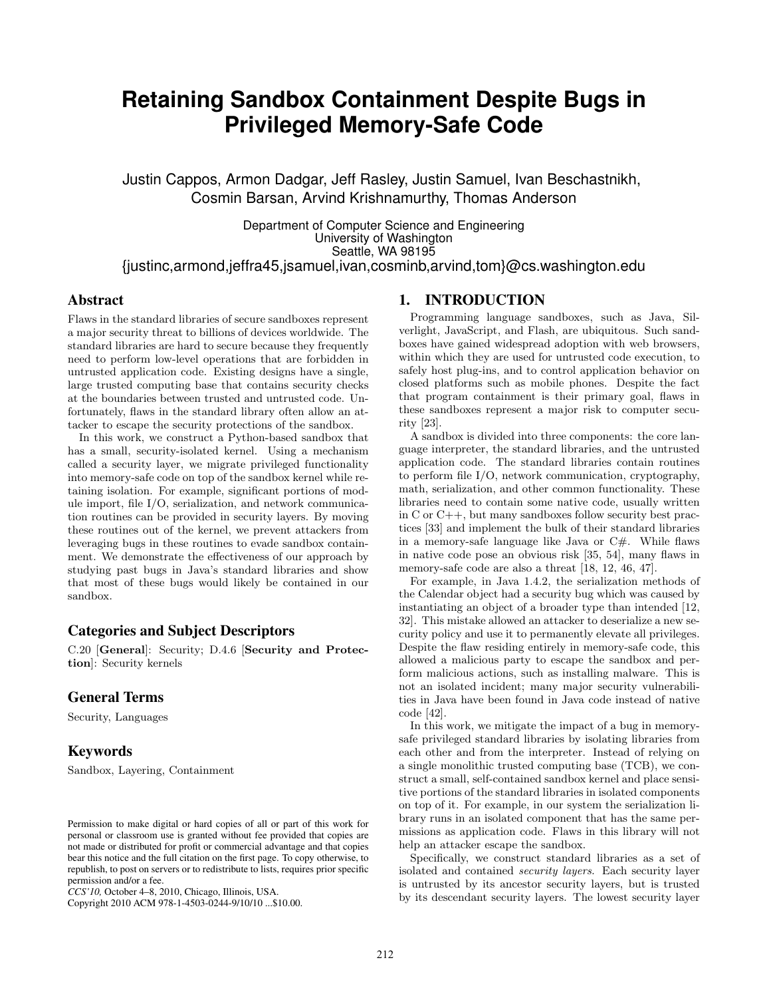# **Retaining Sandbox Containment Despite Bugs in Privileged Memory-Safe Code**

Justin Cappos, Armon Dadgar, Jeff Rasley, Justin Samuel, Ivan Beschastnikh, Cosmin Barsan, Arvind Krishnamurthy, Thomas Anderson

Department of Computer Science and Engineering University of Washington Seattle, WA 98195 {justinc,armond,jeffra45,jsamuel,ivan,cosminb,arvind,tom}@cs.washington.edu

## Abstract

Flaws in the standard libraries of secure sandboxes represent a major security threat to billions of devices worldwide. The standard libraries are hard to secure because they frequently need to perform low-level operations that are forbidden in untrusted application code. Existing designs have a single, large trusted computing base that contains security checks at the boundaries between trusted and untrusted code. Unfortunately, flaws in the standard library often allow an attacker to escape the security protections of the sandbox.

In this work, we construct a Python-based sandbox that has a small, security-isolated kernel. Using a mechanism called a security layer, we migrate privileged functionality into memory-safe code on top of the sandbox kernel while retaining isolation. For example, significant portions of module import, file I/O, serialization, and network communication routines can be provided in security layers. By moving these routines out of the kernel, we prevent attackers from leveraging bugs in these routines to evade sandbox containment. We demonstrate the effectiveness of our approach by studying past bugs in Java's standard libraries and show that most of these bugs would likely be contained in our sandbox.

# Categories and Subject Descriptors

C.20 [General]: Security; D.4.6 [Security and Protection]: Security kernels

# General Terms

Security, Languages

# Keywords

Sandbox, Layering, Containment

Copyright 2010 ACM 978-1-4503-0244-9/10/10 ...\$10.00.

# 1. INTRODUCTION

Programming language sandboxes, such as Java, Silverlight, JavaScript, and Flash, are ubiquitous. Such sandboxes have gained widespread adoption with web browsers, within which they are used for untrusted code execution, to safely host plug-ins, and to control application behavior on closed platforms such as mobile phones. Despite the fact that program containment is their primary goal, flaws in these sandboxes represent a major risk to computer security [23].

A sandbox is divided into three components: the core language interpreter, the standard libraries, and the untrusted application code. The standard libraries contain routines to perform file I/O, network communication, cryptography, math, serialization, and other common functionality. These libraries need to contain some native code, usually written in C or C++, but many sandboxes follow security best practices [33] and implement the bulk of their standard libraries in a memory-safe language like Java or  $C#$ . While flaws in native code pose an obvious risk [35, 54], many flaws in memory-safe code are also a threat [18, 12, 46, 47].

For example, in Java 1.4.2, the serialization methods of the Calendar object had a security bug which was caused by instantiating an object of a broader type than intended [12, 32]. This mistake allowed an attacker to deserialize a new security policy and use it to permanently elevate all privileges. Despite the flaw residing entirely in memory-safe code, this allowed a malicious party to escape the sandbox and perform malicious actions, such as installing malware. This is not an isolated incident; many major security vulnerabilities in Java have been found in Java code instead of native code [42].

In this work, we mitigate the impact of a bug in memorysafe privileged standard libraries by isolating libraries from each other and from the interpreter. Instead of relying on a single monolithic trusted computing base (TCB), we construct a small, self-contained sandbox kernel and place sensitive portions of the standard libraries in isolated components on top of it. For example, in our system the serialization library runs in an isolated component that has the same permissions as application code. Flaws in this library will not help an attacker escape the sandbox.

Specifically, we construct standard libraries as a set of isolated and contained security layers. Each security layer is untrusted by its ancestor security layers, but is trusted by its descendant security layers. The lowest security layer

Permission to make digital or hard copies of all or part of this work for personal or classroom use is granted without fee provided that copies are not made or distributed for profit or commercial advantage and that copies bear this notice and the full citation on the first page. To copy otherwise, to republish, to post on servers or to redistribute to lists, requires prior specific permission and/or a fee.

*CCS'10,* October 4–8, 2010, Chicago, Illinois, USA.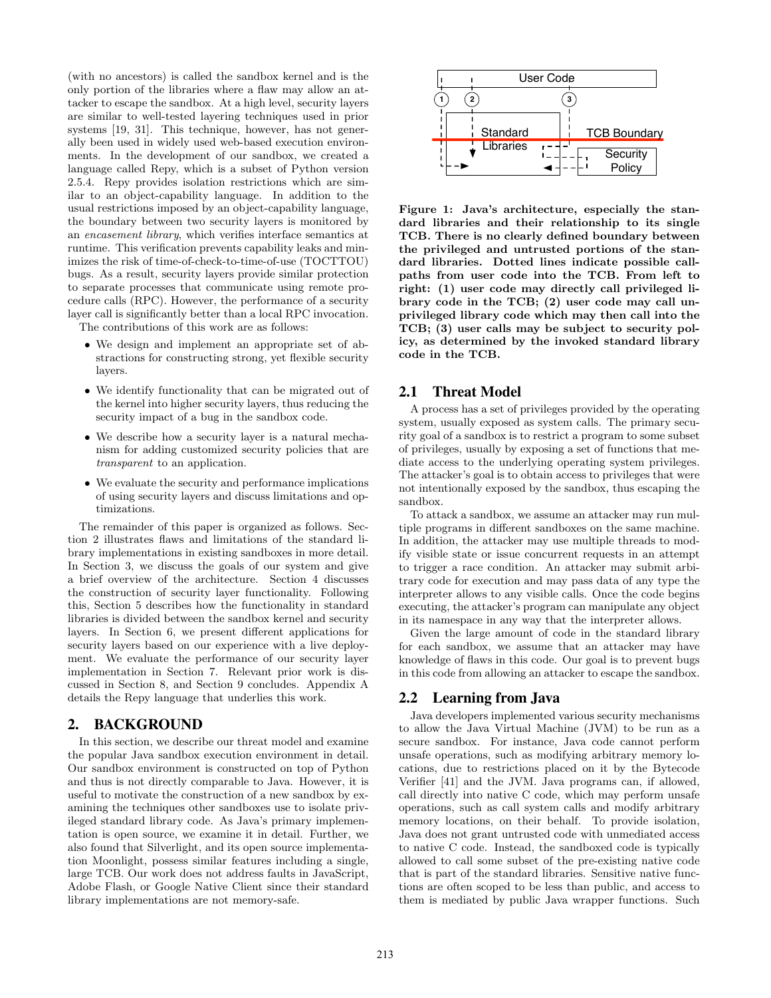(with no ancestors) is called the sandbox kernel and is the only portion of the libraries where a flaw may allow an attacker to escape the sandbox. At a high level, security layers are similar to well-tested layering techniques used in prior systems [19, 31]. This technique, however, has not generally been used in widely used web-based execution environments. In the development of our sandbox, we created a language called Repy, which is a subset of Python version 2.5.4. Repy provides isolation restrictions which are similar to an object-capability language. In addition to the usual restrictions imposed by an object-capability language, the boundary between two security layers is monitored by an encasement library, which verifies interface semantics at runtime. This verification prevents capability leaks and minimizes the risk of time-of-check-to-time-of-use (TOCTTOU) bugs. As a result, security layers provide similar protection to separate processes that communicate using remote procedure calls (RPC). However, the performance of a security layer call is significantly better than a local RPC invocation.

The contributions of this work are as follows:

- We design and implement an appropriate set of abstractions for constructing strong, yet flexible security layers.
- We identify functionality that can be migrated out of the kernel into higher security layers, thus reducing the security impact of a bug in the sandbox code.
- We describe how a security layer is a natural mechanism for adding customized security policies that are transparent to an application.
- We evaluate the security and performance implications of using security layers and discuss limitations and optimizations.

The remainder of this paper is organized as follows. Section 2 illustrates flaws and limitations of the standard library implementations in existing sandboxes in more detail. In Section 3, we discuss the goals of our system and give a brief overview of the architecture. Section 4 discusses the construction of security layer functionality. Following this, Section 5 describes how the functionality in standard libraries is divided between the sandbox kernel and security layers. In Section 6, we present different applications for security layers based on our experience with a live deployment. We evaluate the performance of our security layer implementation in Section 7. Relevant prior work is discussed in Section 8, and Section 9 concludes. Appendix A details the Repy language that underlies this work.

#### 2. BACKGROUND

In this section, we describe our threat model and examine the popular Java sandbox execution environment in detail. Our sandbox environment is constructed on top of Python and thus is not directly comparable to Java. However, it is useful to motivate the construction of a new sandbox by examining the techniques other sandboxes use to isolate privileged standard library code. As Java's primary implementation is open source, we examine it in detail. Further, we also found that Silverlight, and its open source implementation Moonlight, possess similar features including a single, large TCB. Our work does not address faults in JavaScript, Adobe Flash, or Google Native Client since their standard library implementations are not memory-safe.



Figure 1: Java's architecture, especially the standard libraries and their relationship to its single TCB. There is no clearly defined boundary between the privileged and untrusted portions of the standard libraries. Dotted lines indicate possible callpaths from user code into the TCB. From left to right: (1) user code may directly call privileged library code in the TCB; (2) user code may call unprivileged library code which may then call into the TCB; (3) user calls may be subject to security policy, as determined by the invoked standard library code in the TCB.

#### 2.1 Threat Model

A process has a set of privileges provided by the operating system, usually exposed as system calls. The primary security goal of a sandbox is to restrict a program to some subset of privileges, usually by exposing a set of functions that mediate access to the underlying operating system privileges. The attacker's goal is to obtain access to privileges that were not intentionally exposed by the sandbox, thus escaping the sandbox.

To attack a sandbox, we assume an attacker may run multiple programs in different sandboxes on the same machine. In addition, the attacker may use multiple threads to modify visible state or issue concurrent requests in an attempt to trigger a race condition. An attacker may submit arbitrary code for execution and may pass data of any type the interpreter allows to any visible calls. Once the code begins executing, the attacker's program can manipulate any object in its namespace in any way that the interpreter allows.

Given the large amount of code in the standard library for each sandbox, we assume that an attacker may have knowledge of flaws in this code. Our goal is to prevent bugs in this code from allowing an attacker to escape the sandbox.

# 2.2 Learning from Java

Java developers implemented various security mechanisms to allow the Java Virtual Machine (JVM) to be run as a secure sandbox. For instance, Java code cannot perform unsafe operations, such as modifying arbitrary memory locations, due to restrictions placed on it by the Bytecode Verifier [41] and the JVM. Java programs can, if allowed, call directly into native C code, which may perform unsafe operations, such as call system calls and modify arbitrary memory locations, on their behalf. To provide isolation, Java does not grant untrusted code with unmediated access to native C code. Instead, the sandboxed code is typically allowed to call some subset of the pre-existing native code that is part of the standard libraries. Sensitive native functions are often scoped to be less than public, and access to them is mediated by public Java wrapper functions. Such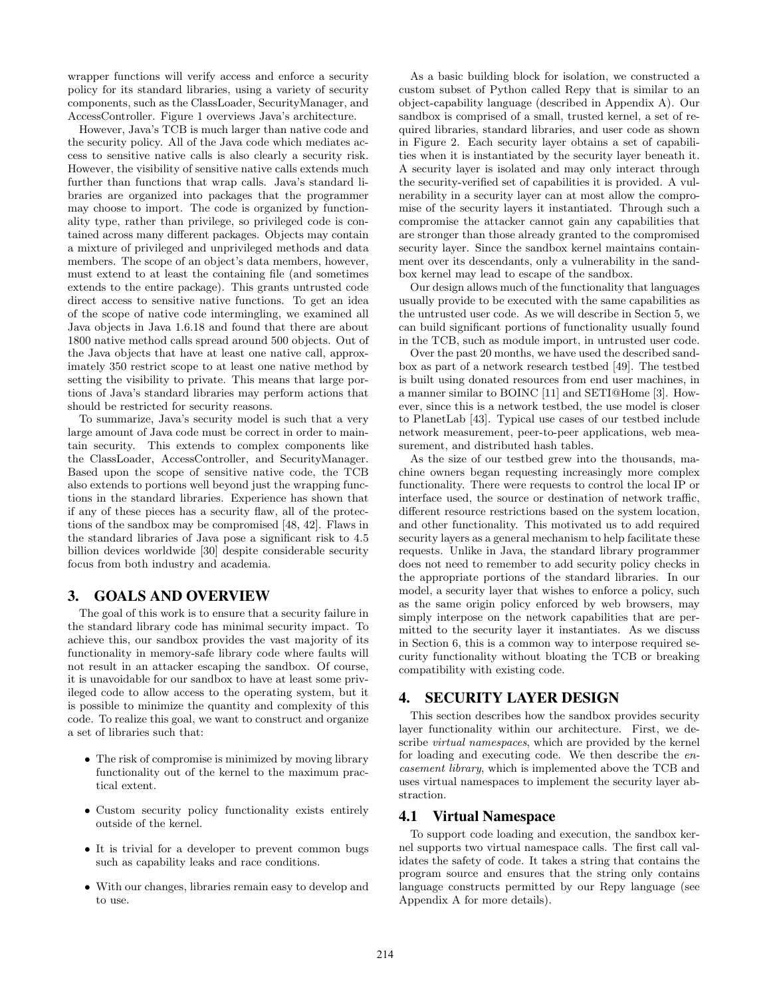wrapper functions will verify access and enforce a security policy for its standard libraries, using a variety of security components, such as the ClassLoader, SecurityManager, and AccessController. Figure 1 overviews Java's architecture.

However, Java's TCB is much larger than native code and the security policy. All of the Java code which mediates access to sensitive native calls is also clearly a security risk. However, the visibility of sensitive native calls extends much further than functions that wrap calls. Java's standard libraries are organized into packages that the programmer may choose to import. The code is organized by functionality type, rather than privilege, so privileged code is contained across many different packages. Objects may contain a mixture of privileged and unprivileged methods and data members. The scope of an object's data members, however, must extend to at least the containing file (and sometimes extends to the entire package). This grants untrusted code direct access to sensitive native functions. To get an idea of the scope of native code intermingling, we examined all Java objects in Java 1.6.18 and found that there are about 1800 native method calls spread around 500 objects. Out of the Java objects that have at least one native call, approximately 350 restrict scope to at least one native method by setting the visibility to private. This means that large portions of Java's standard libraries may perform actions that should be restricted for security reasons.

To summarize, Java's security model is such that a very large amount of Java code must be correct in order to maintain security. This extends to complex components like the ClassLoader, AccessController, and SecurityManager. Based upon the scope of sensitive native code, the TCB also extends to portions well beyond just the wrapping functions in the standard libraries. Experience has shown that if any of these pieces has a security flaw, all of the protections of the sandbox may be compromised [48, 42]. Flaws in the standard libraries of Java pose a significant risk to 4.5 billion devices worldwide [30] despite considerable security focus from both industry and academia.

# 3. GOALS AND OVERVIEW

The goal of this work is to ensure that a security failure in the standard library code has minimal security impact. To achieve this, our sandbox provides the vast majority of its functionality in memory-safe library code where faults will not result in an attacker escaping the sandbox. Of course, it is unavoidable for our sandbox to have at least some privileged code to allow access to the operating system, but it is possible to minimize the quantity and complexity of this code. To realize this goal, we want to construct and organize a set of libraries such that:

- The risk of compromise is minimized by moving library functionality out of the kernel to the maximum practical extent.
- Custom security policy functionality exists entirely outside of the kernel.
- It is trivial for a developer to prevent common bugs such as capability leaks and race conditions.
- With our changes, libraries remain easy to develop and to use.

As a basic building block for isolation, we constructed a custom subset of Python called Repy that is similar to an object-capability language (described in Appendix A). Our sandbox is comprised of a small, trusted kernel, a set of required libraries, standard libraries, and user code as shown in Figure 2. Each security layer obtains a set of capabilities when it is instantiated by the security layer beneath it. A security layer is isolated and may only interact through the security-verified set of capabilities it is provided. A vulnerability in a security layer can at most allow the compromise of the security layers it instantiated. Through such a compromise the attacker cannot gain any capabilities that are stronger than those already granted to the compromised security layer. Since the sandbox kernel maintains containment over its descendants, only a vulnerability in the sandbox kernel may lead to escape of the sandbox.

Our design allows much of the functionality that languages usually provide to be executed with the same capabilities as the untrusted user code. As we will describe in Section 5, we can build significant portions of functionality usually found in the TCB, such as module import, in untrusted user code.

Over the past 20 months, we have used the described sandbox as part of a network research testbed [49]. The testbed is built using donated resources from end user machines, in a manner similar to BOINC [11] and SETI@Home [3]. However, since this is a network testbed, the use model is closer to PlanetLab [43]. Typical use cases of our testbed include network measurement, peer-to-peer applications, web measurement, and distributed hash tables.

As the size of our testbed grew into the thousands, machine owners began requesting increasingly more complex functionality. There were requests to control the local IP or interface used, the source or destination of network traffic, different resource restrictions based on the system location, and other functionality. This motivated us to add required security layers as a general mechanism to help facilitate these requests. Unlike in Java, the standard library programmer does not need to remember to add security policy checks in the appropriate portions of the standard libraries. In our model, a security layer that wishes to enforce a policy, such as the same origin policy enforced by web browsers, may simply interpose on the network capabilities that are permitted to the security layer it instantiates. As we discuss in Section 6, this is a common way to interpose required security functionality without bloating the TCB or breaking compatibility with existing code.

# 4. SECURITY LAYER DESIGN

This section describes how the sandbox provides security layer functionality within our architecture. First, we describe virtual namespaces, which are provided by the kernel for loading and executing code. We then describe the encasement library, which is implemented above the TCB and uses virtual namespaces to implement the security layer abstraction.

# 4.1 Virtual Namespace

To support code loading and execution, the sandbox kernel supports two virtual namespace calls. The first call validates the safety of code. It takes a string that contains the program source and ensures that the string only contains language constructs permitted by our Repy language (see Appendix A for more details).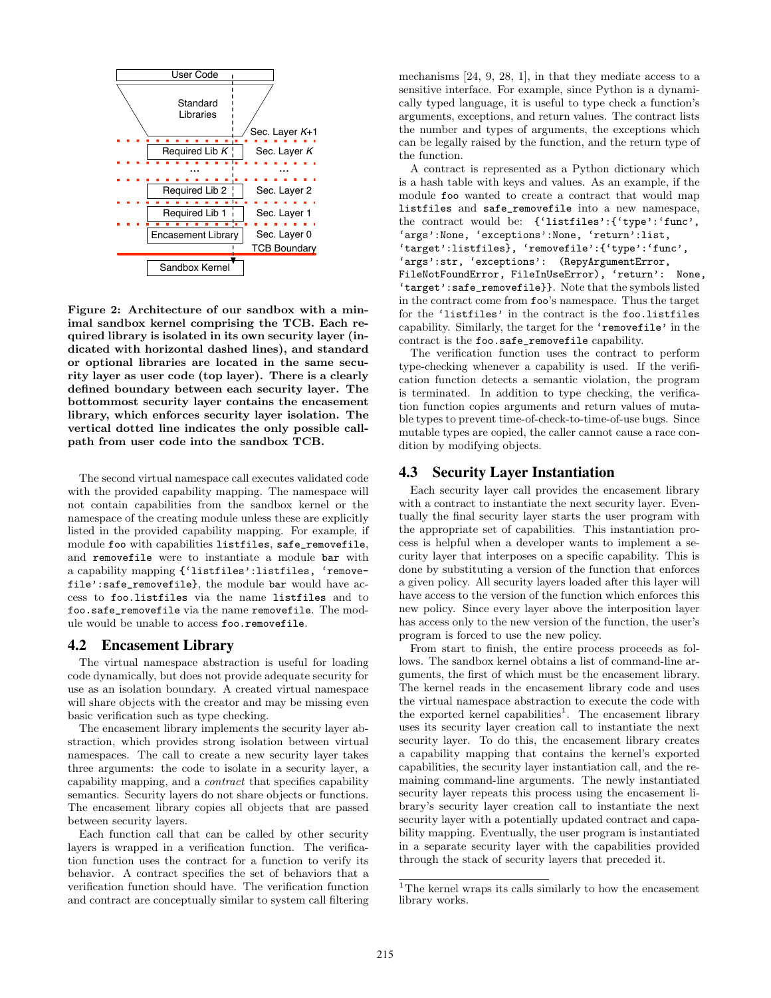

Figure 2: Architecture of our sandbox with a minimal sandbox kernel comprising the TCB. Each required library is isolated in its own security layer (indicated with horizontal dashed lines), and standard or optional libraries are located in the same security layer as user code (top layer). There is a clearly defined boundary between each security layer. The bottommost security layer contains the encasement library, which enforces security layer isolation. The vertical dotted line indicates the only possible callpath from user code into the sandbox TCB.

The second virtual namespace call executes validated code with the provided capability mapping. The namespace will not contain capabilities from the sandbox kernel or the namespace of the creating module unless these are explicitly listed in the provided capability mapping. For example, if module foo with capabilities listfiles, safe\_removefile, and removefile were to instantiate a module bar with a capability mapping {'listfiles':listfiles, 'removefile':safe\_removefile}, the module bar would have access to foo.listfiles via the name listfiles and to foo.safe\_removefile via the name removefile. The module would be unable to access foo.removefile.

#### 4.2 Encasement Library

The virtual namespace abstraction is useful for loading code dynamically, but does not provide adequate security for use as an isolation boundary. A created virtual namespace will share objects with the creator and may be missing even basic verification such as type checking.

The encasement library implements the security layer abstraction, which provides strong isolation between virtual namespaces. The call to create a new security layer takes three arguments: the code to isolate in a security layer, a capability mapping, and a contract that specifies capability semantics. Security layers do not share objects or functions. The encasement library copies all objects that are passed between security layers.

Each function call that can be called by other security layers is wrapped in a verification function. The verification function uses the contract for a function to verify its behavior. A contract specifies the set of behaviors that a verification function should have. The verification function and contract are conceptually similar to system call filtering mechanisms [24, 9, 28, 1], in that they mediate access to a sensitive interface. For example, since Python is a dynamically typed language, it is useful to type check a function's arguments, exceptions, and return values. The contract lists the number and types of arguments, the exceptions which can be legally raised by the function, and the return type of the function.

A contract is represented as a Python dictionary which is a hash table with keys and values. As an example, if the module foo wanted to create a contract that would map listfiles and safe\_removefile into a new namespace, the contract would be: {'listfiles':{'type':'func', 'args':None, 'exceptions':None, 'return':list, 'target':listfiles}, 'removefile':{'type':'func', 'args':str, 'exceptions': (RepyArgumentError, FileNotFoundError, FileInUseError), 'return': None, 'target':safe\_removefile}}. Note that the symbols listed in the contract come from foo's namespace. Thus the target for the 'listfiles' in the contract is the foo.listfiles capability. Similarly, the target for the 'removefile' in the contract is the foo.safe\_removefile capability.

The verification function uses the contract to perform type-checking whenever a capability is used. If the verification function detects a semantic violation, the program is terminated. In addition to type checking, the verification function copies arguments and return values of mutable types to prevent time-of-check-to-time-of-use bugs. Since mutable types are copied, the caller cannot cause a race condition by modifying objects.

## 4.3 Security Layer Instantiation

Each security layer call provides the encasement library with a contract to instantiate the next security layer. Eventually the final security layer starts the user program with the appropriate set of capabilities. This instantiation process is helpful when a developer wants to implement a security layer that interposes on a specific capability. This is done by substituting a version of the function that enforces a given policy. All security layers loaded after this layer will have access to the version of the function which enforces this new policy. Since every layer above the interposition layer has access only to the new version of the function, the user's program is forced to use the new policy.

From start to finish, the entire process proceeds as follows. The sandbox kernel obtains a list of command-line arguments, the first of which must be the encasement library. The kernel reads in the encasement library code and uses the virtual namespace abstraction to execute the code with the exported kernel capabilities<sup>1</sup>. The encasement library uses its security layer creation call to instantiate the next security layer. To do this, the encasement library creates a capability mapping that contains the kernel's exported capabilities, the security layer instantiation call, and the remaining command-line arguments. The newly instantiated security layer repeats this process using the encasement library's security layer creation call to instantiate the next security layer with a potentially updated contract and capability mapping. Eventually, the user program is instantiated in a separate security layer with the capabilities provided through the stack of security layers that preceded it.

 $1$ <sup>1</sup>The kernel wraps its calls similarly to how the encasement library works.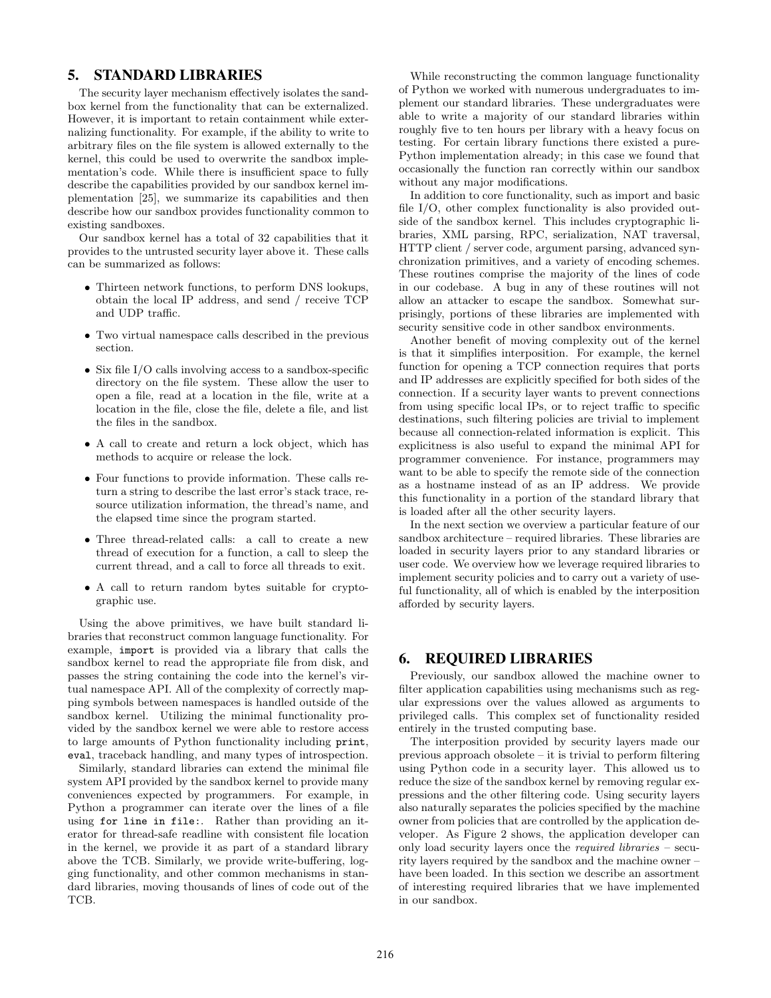# 5. STANDARD LIBRARIES

The security layer mechanism effectively isolates the sandbox kernel from the functionality that can be externalized. However, it is important to retain containment while externalizing functionality. For example, if the ability to write to arbitrary files on the file system is allowed externally to the kernel, this could be used to overwrite the sandbox implementation's code. While there is insufficient space to fully describe the capabilities provided by our sandbox kernel implementation [25], we summarize its capabilities and then describe how our sandbox provides functionality common to existing sandboxes.

Our sandbox kernel has a total of 32 capabilities that it provides to the untrusted security layer above it. These calls can be summarized as follows:

- Thirteen network functions, to perform DNS lookups, obtain the local IP address, and send / receive TCP and UDP traffic.
- Two virtual namespace calls described in the previous section.
- Six file I/O calls involving access to a sandbox-specific directory on the file system. These allow the user to open a file, read at a location in the file, write at a location in the file, close the file, delete a file, and list the files in the sandbox.
- A call to create and return a lock object, which has methods to acquire or release the lock.
- Four functions to provide information. These calls return a string to describe the last error's stack trace, resource utilization information, the thread's name, and the elapsed time since the program started.
- Three thread-related calls: a call to create a new thread of execution for a function, a call to sleep the current thread, and a call to force all threads to exit.
- A call to return random bytes suitable for cryptographic use.

Using the above primitives, we have built standard libraries that reconstruct common language functionality. For example, import is provided via a library that calls the sandbox kernel to read the appropriate file from disk, and passes the string containing the code into the kernel's virtual namespace API. All of the complexity of correctly mapping symbols between namespaces is handled outside of the sandbox kernel. Utilizing the minimal functionality provided by the sandbox kernel we were able to restore access to large amounts of Python functionality including print, eval, traceback handling, and many types of introspection.

Similarly, standard libraries can extend the minimal file system API provided by the sandbox kernel to provide many conveniences expected by programmers. For example, in Python a programmer can iterate over the lines of a file using for line in file:. Rather than providing an iterator for thread-safe readline with consistent file location in the kernel, we provide it as part of a standard library above the TCB. Similarly, we provide write-buffering, logging functionality, and other common mechanisms in standard libraries, moving thousands of lines of code out of the TCB.

While reconstructing the common language functionality of Python we worked with numerous undergraduates to implement our standard libraries. These undergraduates were able to write a majority of our standard libraries within roughly five to ten hours per library with a heavy focus on testing. For certain library functions there existed a pure-Python implementation already; in this case we found that occasionally the function ran correctly within our sandbox without any major modifications.

In addition to core functionality, such as import and basic file I/O, other complex functionality is also provided outside of the sandbox kernel. This includes cryptographic libraries, XML parsing, RPC, serialization, NAT traversal, HTTP client / server code, argument parsing, advanced synchronization primitives, and a variety of encoding schemes. These routines comprise the majority of the lines of code in our codebase. A bug in any of these routines will not allow an attacker to escape the sandbox. Somewhat surprisingly, portions of these libraries are implemented with security sensitive code in other sandbox environments.

Another benefit of moving complexity out of the kernel is that it simplifies interposition. For example, the kernel function for opening a TCP connection requires that ports and IP addresses are explicitly specified for both sides of the connection. If a security layer wants to prevent connections from using specific local IPs, or to reject traffic to specific destinations, such filtering policies are trivial to implement because all connection-related information is explicit. This explicitness is also useful to expand the minimal API for programmer convenience. For instance, programmers may want to be able to specify the remote side of the connection as a hostname instead of as an IP address. We provide this functionality in a portion of the standard library that is loaded after all the other security layers.

In the next section we overview a particular feature of our sandbox architecture – required libraries. These libraries are loaded in security layers prior to any standard libraries or user code. We overview how we leverage required libraries to implement security policies and to carry out a variety of useful functionality, all of which is enabled by the interposition afforded by security layers.

# 6. REQUIRED LIBRARIES

Previously, our sandbox allowed the machine owner to filter application capabilities using mechanisms such as regular expressions over the values allowed as arguments to privileged calls. This complex set of functionality resided entirely in the trusted computing base.

The interposition provided by security layers made our previous approach obsolete – it is trivial to perform filtering using Python code in a security layer. This allowed us to reduce the size of the sandbox kernel by removing regular expressions and the other filtering code. Using security layers also naturally separates the policies specified by the machine owner from policies that are controlled by the application developer. As Figure 2 shows, the application developer can only load security layers once the required libraries – security layers required by the sandbox and the machine owner – have been loaded. In this section we describe an assortment of interesting required libraries that we have implemented in our sandbox.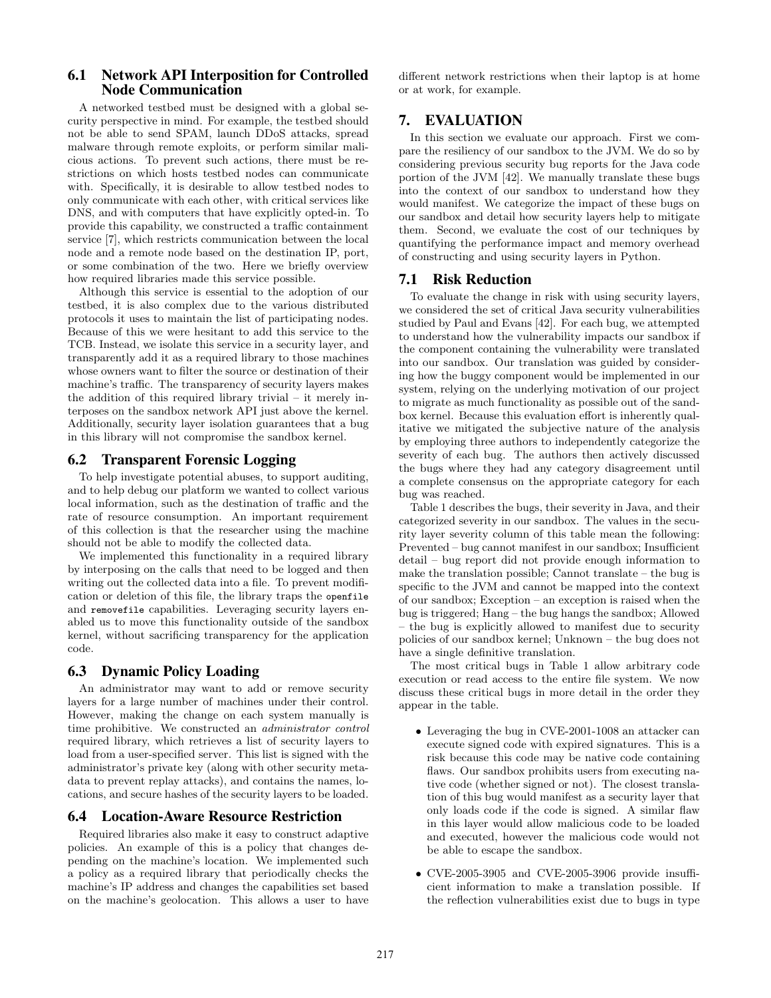# 6.1 Network API Interposition for Controlled Node Communication

A networked testbed must be designed with a global security perspective in mind. For example, the testbed should not be able to send SPAM, launch DDoS attacks, spread malware through remote exploits, or perform similar malicious actions. To prevent such actions, there must be restrictions on which hosts testbed nodes can communicate with. Specifically, it is desirable to allow testbed nodes to only communicate with each other, with critical services like DNS, and with computers that have explicitly opted-in. To provide this capability, we constructed a traffic containment service [7], which restricts communication between the local node and a remote node based on the destination IP, port, or some combination of the two. Here we briefly overview how required libraries made this service possible.

Although this service is essential to the adoption of our testbed, it is also complex due to the various distributed protocols it uses to maintain the list of participating nodes. Because of this we were hesitant to add this service to the TCB. Instead, we isolate this service in a security layer, and transparently add it as a required library to those machines whose owners want to filter the source or destination of their machine's traffic. The transparency of security layers makes the addition of this required library trivial – it merely interposes on the sandbox network API just above the kernel. Additionally, security layer isolation guarantees that a bug in this library will not compromise the sandbox kernel.

## 6.2 Transparent Forensic Logging

To help investigate potential abuses, to support auditing, and to help debug our platform we wanted to collect various local information, such as the destination of traffic and the rate of resource consumption. An important requirement of this collection is that the researcher using the machine should not be able to modify the collected data.

We implemented this functionality in a required library by interposing on the calls that need to be logged and then writing out the collected data into a file. To prevent modification or deletion of this file, the library traps the openfile and removefile capabilities. Leveraging security layers enabled us to move this functionality outside of the sandbox kernel, without sacrificing transparency for the application code.

# 6.3 Dynamic Policy Loading

An administrator may want to add or remove security layers for a large number of machines under their control. However, making the change on each system manually is time prohibitive. We constructed an administrator control required library, which retrieves a list of security layers to load from a user-specified server. This list is signed with the administrator's private key (along with other security metadata to prevent replay attacks), and contains the names, locations, and secure hashes of the security layers to be loaded.

#### 6.4 Location-Aware Resource Restriction

Required libraries also make it easy to construct adaptive policies. An example of this is a policy that changes depending on the machine's location. We implemented such a policy as a required library that periodically checks the machine's IP address and changes the capabilities set based on the machine's geolocation. This allows a user to have

different network restrictions when their laptop is at home or at work, for example.

# 7. EVALUATION

In this section we evaluate our approach. First we compare the resiliency of our sandbox to the JVM. We do so by considering previous security bug reports for the Java code portion of the JVM [42]. We manually translate these bugs into the context of our sandbox to understand how they would manifest. We categorize the impact of these bugs on our sandbox and detail how security layers help to mitigate them. Second, we evaluate the cost of our techniques by quantifying the performance impact and memory overhead of constructing and using security layers in Python.

#### 7.1 Risk Reduction

To evaluate the change in risk with using security layers, we considered the set of critical Java security vulnerabilities studied by Paul and Evans [42]. For each bug, we attempted to understand how the vulnerability impacts our sandbox if the component containing the vulnerability were translated into our sandbox. Our translation was guided by considering how the buggy component would be implemented in our system, relying on the underlying motivation of our project to migrate as much functionality as possible out of the sandbox kernel. Because this evaluation effort is inherently qualitative we mitigated the subjective nature of the analysis by employing three authors to independently categorize the severity of each bug. The authors then actively discussed the bugs where they had any category disagreement until a complete consensus on the appropriate category for each bug was reached.

Table 1 describes the bugs, their severity in Java, and their categorized severity in our sandbox. The values in the security layer severity column of this table mean the following: Prevented – bug cannot manifest in our sandbox; Insufficient detail – bug report did not provide enough information to make the translation possible; Cannot translate – the bug is specific to the JVM and cannot be mapped into the context of our sandbox; Exception – an exception is raised when the bug is triggered; Hang – the bug hangs the sandbox; Allowed – the bug is explicitly allowed to manifest due to security policies of our sandbox kernel; Unknown – the bug does not have a single definitive translation.

The most critical bugs in Table 1 allow arbitrary code execution or read access to the entire file system. We now discuss these critical bugs in more detail in the order they appear in the table.

- Leveraging the bug in CVE-2001-1008 an attacker can execute signed code with expired signatures. This is a risk because this code may be native code containing flaws. Our sandbox prohibits users from executing native code (whether signed or not). The closest translation of this bug would manifest as a security layer that only loads code if the code is signed. A similar flaw in this layer would allow malicious code to be loaded and executed, however the malicious code would not be able to escape the sandbox.
- CVE-2005-3905 and CVE-2005-3906 provide insufficient information to make a translation possible. If the reflection vulnerabilities exist due to bugs in type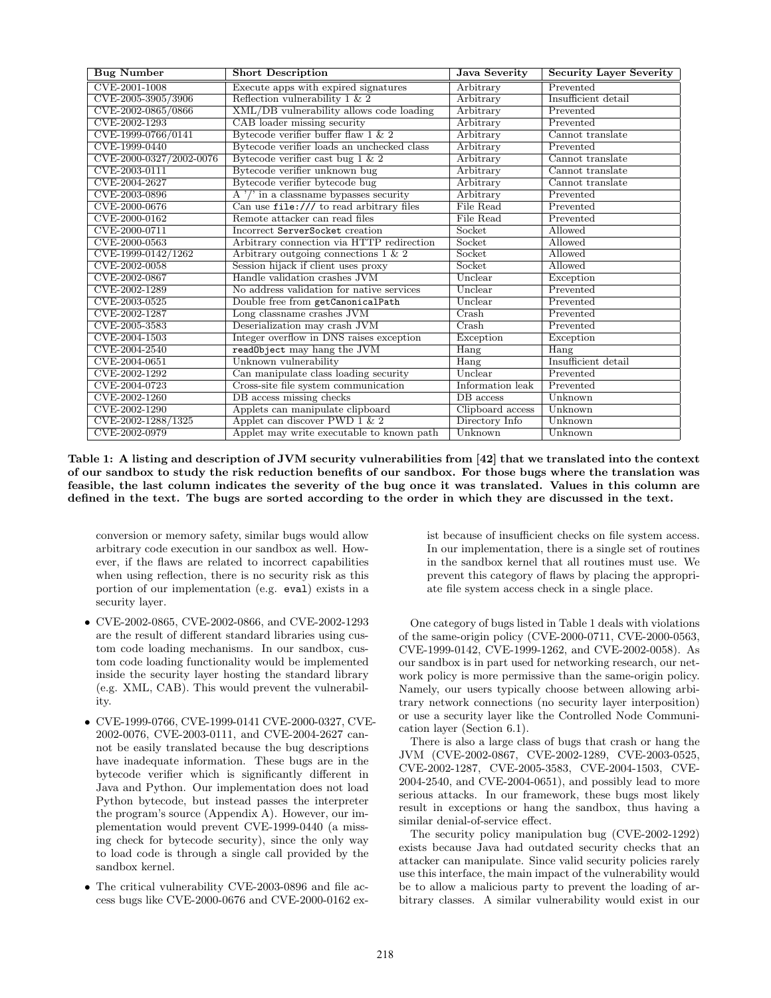| <b>Bug Number</b>       | <b>Short Description</b>                   | <b>Java Severity</b>   | <b>Security Layer Severity</b> |
|-------------------------|--------------------------------------------|------------------------|--------------------------------|
| CVE-2001-1008           | Execute apps with expired signatures       | Arbitrary              | Prevented                      |
| CVE-2005-3905/3906      | Reflection vulnerability $1 \& 2$          | Arbitrary              | Insufficient detail            |
| CVE-2002-0865/0866      | XML/DB vulnerability allows code loading   | Arbitrary              | Prevented                      |
| CVE-2002-1293           | CAB loader missing security                | Arbitrary              | Prevented                      |
| CVE-1999-0766/0141      | Bytecode verifier buffer flaw $1 \& 2$     | Arbitrary              | Cannot translate               |
| CVE-1999-0440           | Bytecode verifier loads an unchecked class | Arbitrary              | Prevented                      |
| CVE-2000-0327/2002-0076 | Bytecode verifier cast bug $1 \& 2$        | Arbitrary              | Cannot translate               |
| CVE-2003-0111           | Bytecode verifier unknown bug              | Arbitrary              | Cannot translate               |
| CVE-2004-2627           | Bytecode verifier bytecode bug             | Arbitrary              | Cannot translate               |
| CVE-2003-0896           | $A'/$ in a classname bypasses security     | Arbitrary              | Prevented                      |
| CVE-2000-0676           | Can use file:/// to read arbitrary files   | File Read              | Prevented                      |
| CVE-2000-0162           | Remote attacker can read files             | File Read              | Prevented                      |
| CVE-2000-0711           | Incorrect ServerSocket creation            | <b>Socket</b>          | Allowed                        |
| CVE-2000-0563           | Arbitrary connection via HTTP redirection  | Socket                 | Allowed                        |
| CVE-1999-0142/1262      | Arbitrary outgoing connections $1 \& 2$    | Socket                 | Allowed                        |
| CVE-2002-0058           | Session hijack if client uses proxy        | Socket                 | Allowed                        |
| CVE-2002-0867           | Handle validation crashes JVM              | Unclear                | Exception                      |
| CVE-2002-1289           | No address validation for native services  | Unclear                | Prevented                      |
| CVE-2003-0525           | Double free from getCanonicalPath          | Unclear                | Prevented                      |
| CVE-2002-1287           | $\rm Long$ class<br>name crashes $\rm JVM$ | Crash                  | Prevented                      |
| CVE-2005-3583           | Deserialization may crash JVM              | Crash                  | Prevented                      |
| CVE-2004-1503           | Integer overflow in DNS raises exception   | Exception              | Exception                      |
| CVE-2004-2540           | readObject may hang the JVM                | Hang                   | Hang                           |
| CVE-2004-0651           | Unknown vulnerability                      | Hang                   | Insufficient detail            |
| CVE-2002-1292           | Can manipulate class loading security      | Unclear                | Prevented                      |
| CVE-2004-0723           | Cross-site file system communication       | Information leak       | Prevented                      |
| CVE-2002-1260           | DB access missing checks                   | $\overline{DB}$ access | Unknown                        |
| CVE-2002-1290           | Applets can manipulate clipboard           | Clipboard access       | Unknown                        |
| CVE-2002-1288/1325      | Applet can discover PWD $1 \& 2$           | Directory Info         | Unknown                        |
| CVE-2002-0979           | Applet may write executable to known path  | Unknown                | Unknown                        |

Table 1: A listing and description of JVM security vulnerabilities from [42] that we translated into the context of our sandbox to study the risk reduction benefits of our sandbox. For those bugs where the translation was feasible, the last column indicates the severity of the bug once it was translated. Values in this column are defined in the text. The bugs are sorted according to the order in which they are discussed in the text.

conversion or memory safety, similar bugs would allow arbitrary code execution in our sandbox as well. However, if the flaws are related to incorrect capabilities when using reflection, there is no security risk as this portion of our implementation (e.g. eval) exists in a security layer.

- CVE-2002-0865, CVE-2002-0866, and CVE-2002-1293 are the result of different standard libraries using custom code loading mechanisms. In our sandbox, custom code loading functionality would be implemented inside the security layer hosting the standard library (e.g. XML, CAB). This would prevent the vulnerability.
- CVE-1999-0766, CVE-1999-0141 CVE-2000-0327, CVE-2002-0076, CVE-2003-0111, and CVE-2004-2627 cannot be easily translated because the bug descriptions have inadequate information. These bugs are in the bytecode verifier which is significantly different in Java and Python. Our implementation does not load Python bytecode, but instead passes the interpreter the program's source (Appendix A). However, our implementation would prevent CVE-1999-0440 (a missing check for bytecode security), since the only way to load code is through a single call provided by the sandbox kernel.
- The critical vulnerability CVE-2003-0896 and file access bugs like CVE-2000-0676 and CVE-2000-0162 ex-

ist because of insufficient checks on file system access. In our implementation, there is a single set of routines in the sandbox kernel that all routines must use. We prevent this category of flaws by placing the appropriate file system access check in a single place.

One category of bugs listed in Table 1 deals with violations of the same-origin policy (CVE-2000-0711, CVE-2000-0563, CVE-1999-0142, CVE-1999-1262, and CVE-2002-0058). As our sandbox is in part used for networking research, our network policy is more permissive than the same-origin policy. Namely, our users typically choose between allowing arbitrary network connections (no security layer interposition) or use a security layer like the Controlled Node Communication layer (Section 6.1).

There is also a large class of bugs that crash or hang the JVM (CVE-2002-0867, CVE-2002-1289, CVE-2003-0525, CVE-2002-1287, CVE-2005-3583, CVE-2004-1503, CVE-2004-2540, and CVE-2004-0651), and possibly lead to more serious attacks. In our framework, these bugs most likely result in exceptions or hang the sandbox, thus having a similar denial-of-service effect.

The security policy manipulation bug (CVE-2002-1292) exists because Java had outdated security checks that an attacker can manipulate. Since valid security policies rarely use this interface, the main impact of the vulnerability would be to allow a malicious party to prevent the loading of arbitrary classes. A similar vulnerability would exist in our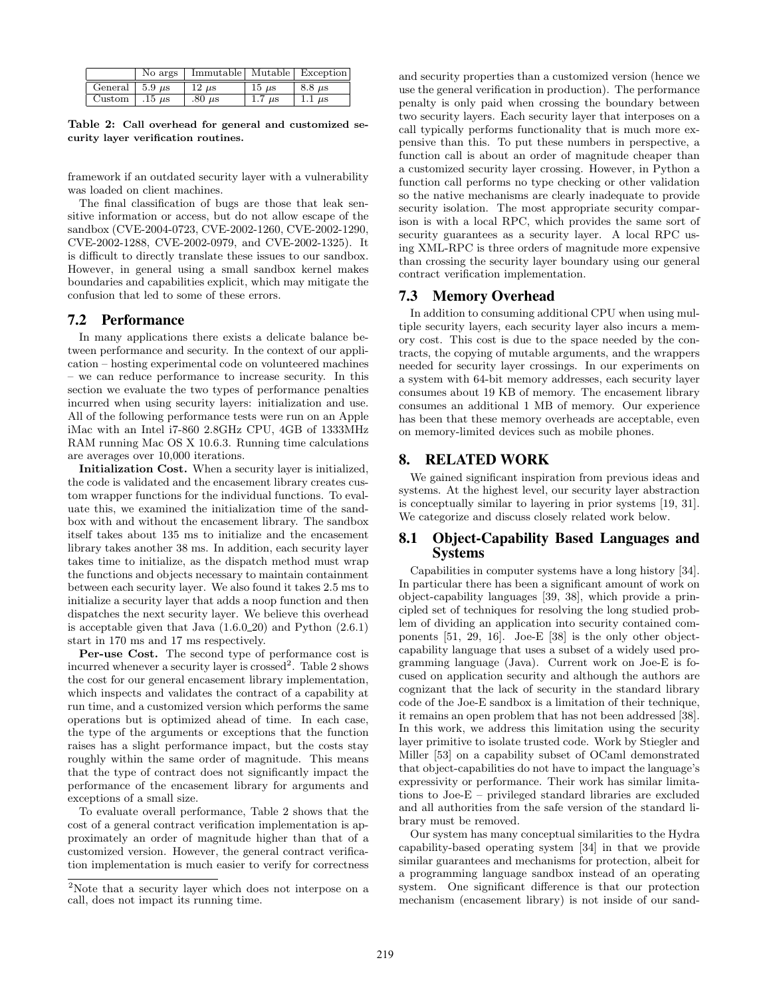|                             |             | No args   Immutable   Mutable   Exception |             |               |
|-----------------------------|-------------|-------------------------------------------|-------------|---------------|
| General $\vert$ 5.9 $\mu$ s |             | $12 \mu s$                                | $15 \mu s$  | $8.8 \ \mu s$ |
| Custom                      | $.15 \mu s$ | .80 $\mu$ s                               | $1.7 \mu s$ | 1.1 $\mu$ s   |

Table 2: Call overhead for general and customized security layer verification routines.

framework if an outdated security layer with a vulnerability was loaded on client machines.

The final classification of bugs are those that leak sensitive information or access, but do not allow escape of the sandbox (CVE-2004-0723, CVE-2002-1260, CVE-2002-1290, CVE-2002-1288, CVE-2002-0979, and CVE-2002-1325). It is difficult to directly translate these issues to our sandbox. However, in general using a small sandbox kernel makes boundaries and capabilities explicit, which may mitigate the confusion that led to some of these errors.

## 7.2 Performance

In many applications there exists a delicate balance between performance and security. In the context of our application – hosting experimental code on volunteered machines – we can reduce performance to increase security. In this section we evaluate the two types of performance penalties incurred when using security layers: initialization and use. All of the following performance tests were run on an Apple iMac with an Intel i7-860 2.8GHz CPU, 4GB of 1333MHz RAM running Mac OS X 10.6.3. Running time calculations are averages over 10,000 iterations.

Initialization Cost. When a security layer is initialized, the code is validated and the encasement library creates custom wrapper functions for the individual functions. To evaluate this, we examined the initialization time of the sandbox with and without the encasement library. The sandbox itself takes about 135 ms to initialize and the encasement library takes another 38 ms. In addition, each security layer takes time to initialize, as the dispatch method must wrap the functions and objects necessary to maintain containment between each security layer. We also found it takes 2.5 ms to initialize a security layer that adds a noop function and then dispatches the next security layer. We believe this overhead is acceptable given that Java  $(1.6.0\_20)$  and Python  $(2.6.1)$ start in 170 ms and 17 ms respectively.

Per-use Cost. The second type of performance cost is incurred whenever a security layer is crossed<sup>2</sup>. Table 2 shows the cost for our general encasement library implementation, which inspects and validates the contract of a capability at run time, and a customized version which performs the same operations but is optimized ahead of time. In each case, the type of the arguments or exceptions that the function raises has a slight performance impact, but the costs stay roughly within the same order of magnitude. This means that the type of contract does not significantly impact the performance of the encasement library for arguments and exceptions of a small size.

To evaluate overall performance, Table 2 shows that the cost of a general contract verification implementation is approximately an order of magnitude higher than that of a customized version. However, the general contract verification implementation is much easier to verify for correctness and security properties than a customized version (hence we use the general verification in production). The performance penalty is only paid when crossing the boundary between two security layers. Each security layer that interposes on a call typically performs functionality that is much more expensive than this. To put these numbers in perspective, a function call is about an order of magnitude cheaper than a customized security layer crossing. However, in Python a function call performs no type checking or other validation so the native mechanisms are clearly inadequate to provide security isolation. The most appropriate security comparison is with a local RPC, which provides the same sort of security guarantees as a security layer. A local RPC using XML-RPC is three orders of magnitude more expensive than crossing the security layer boundary using our general contract verification implementation.

#### 7.3 Memory Overhead

In addition to consuming additional CPU when using multiple security layers, each security layer also incurs a memory cost. This cost is due to the space needed by the contracts, the copying of mutable arguments, and the wrappers needed for security layer crossings. In our experiments on a system with 64-bit memory addresses, each security layer consumes about 19 KB of memory. The encasement library consumes an additional 1 MB of memory. Our experience has been that these memory overheads are acceptable, even on memory-limited devices such as mobile phones.

## 8. RELATED WORK

We gained significant inspiration from previous ideas and systems. At the highest level, our security layer abstraction is conceptually similar to layering in prior systems [19, 31]. We categorize and discuss closely related work below.

## 8.1 Object-Capability Based Languages and Systems

Capabilities in computer systems have a long history [34]. In particular there has been a significant amount of work on object-capability languages [39, 38], which provide a principled set of techniques for resolving the long studied problem of dividing an application into security contained components [51, 29, 16]. Joe-E [38] is the only other objectcapability language that uses a subset of a widely used programming language (Java). Current work on Joe-E is focused on application security and although the authors are cognizant that the lack of security in the standard library code of the Joe-E sandbox is a limitation of their technique, it remains an open problem that has not been addressed [38]. In this work, we address this limitation using the security layer primitive to isolate trusted code. Work by Stiegler and Miller [53] on a capability subset of OCaml demonstrated that object-capabilities do not have to impact the language's expressivity or performance. Their work has similar limitations to Joe-E – privileged standard libraries are excluded and all authorities from the safe version of the standard library must be removed.

Our system has many conceptual similarities to the Hydra capability-based operating system [34] in that we provide similar guarantees and mechanisms for protection, albeit for a programming language sandbox instead of an operating system. One significant difference is that our protection mechanism (encasement library) is not inside of our sand-

<sup>2</sup>Note that a security layer which does not interpose on a call, does not impact its running time.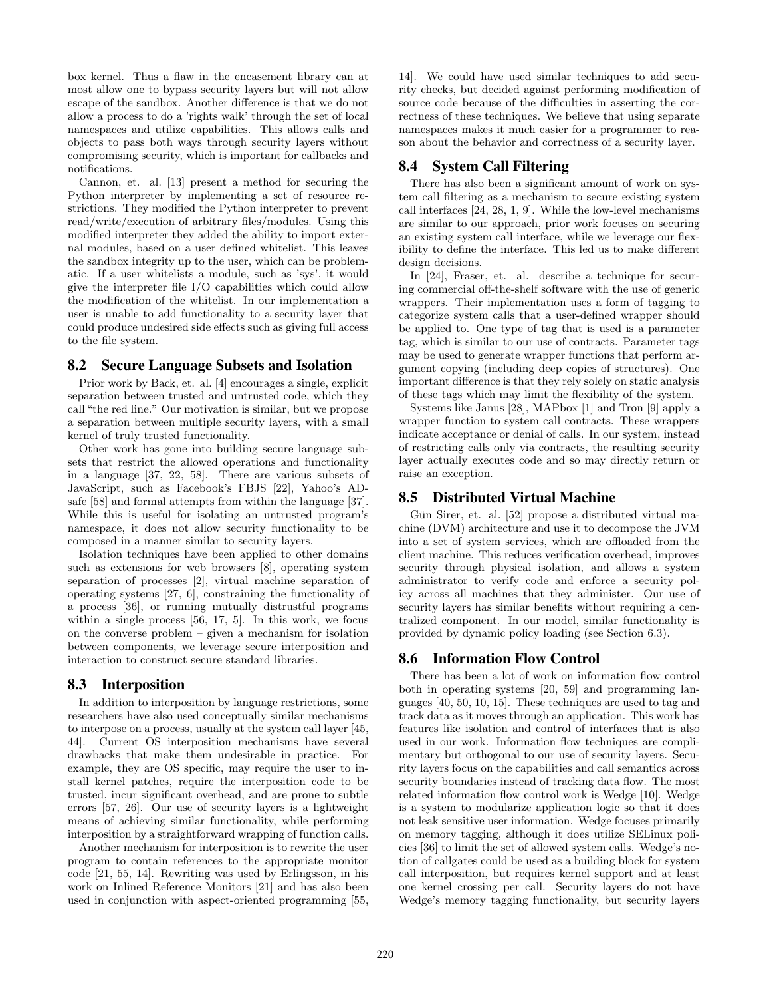box kernel. Thus a flaw in the encasement library can at most allow one to bypass security layers but will not allow escape of the sandbox. Another difference is that we do not allow a process to do a 'rights walk' through the set of local namespaces and utilize capabilities. This allows calls and objects to pass both ways through security layers without compromising security, which is important for callbacks and notifications.

Cannon, et. al. [13] present a method for securing the Python interpreter by implementing a set of resource restrictions. They modified the Python interpreter to prevent read/write/execution of arbitrary files/modules. Using this modified interpreter they added the ability to import external modules, based on a user defined whitelist. This leaves the sandbox integrity up to the user, which can be problematic. If a user whitelists a module, such as 'sys', it would give the interpreter file I/O capabilities which could allow the modification of the whitelist. In our implementation a user is unable to add functionality to a security layer that could produce undesired side effects such as giving full access to the file system.

#### 8.2 Secure Language Subsets and Isolation

Prior work by Back, et. al. [4] encourages a single, explicit separation between trusted and untrusted code, which they call "the red line." Our motivation is similar, but we propose a separation between multiple security layers, with a small kernel of truly trusted functionality.

Other work has gone into building secure language subsets that restrict the allowed operations and functionality in a language [37, 22, 58]. There are various subsets of JavaScript, such as Facebook's FBJS [22], Yahoo's ADsafe [58] and formal attempts from within the language [37]. While this is useful for isolating an untrusted program's namespace, it does not allow security functionality to be composed in a manner similar to security layers.

Isolation techniques have been applied to other domains such as extensions for web browsers [8], operating system separation of processes [2], virtual machine separation of operating systems [27, 6], constraining the functionality of a process [36], or running mutually distrustful programs within a single process [56, 17, 5]. In this work, we focus on the converse problem – given a mechanism for isolation between components, we leverage secure interposition and interaction to construct secure standard libraries.

## 8.3 Interposition

In addition to interposition by language restrictions, some researchers have also used conceptually similar mechanisms to interpose on a process, usually at the system call layer [45, 44]. Current OS interposition mechanisms have several drawbacks that make them undesirable in practice. For example, they are OS specific, may require the user to install kernel patches, require the interposition code to be trusted, incur significant overhead, and are prone to subtle errors [57, 26]. Our use of security layers is a lightweight means of achieving similar functionality, while performing interposition by a straightforward wrapping of function calls.

Another mechanism for interposition is to rewrite the user program to contain references to the appropriate monitor code [21, 55, 14]. Rewriting was used by Erlingsson, in his work on Inlined Reference Monitors [21] and has also been used in conjunction with aspect-oriented programming [55, 14]. We could have used similar techniques to add security checks, but decided against performing modification of source code because of the difficulties in asserting the correctness of these techniques. We believe that using separate namespaces makes it much easier for a programmer to reason about the behavior and correctness of a security layer.

# 8.4 System Call Filtering

There has also been a significant amount of work on system call filtering as a mechanism to secure existing system call interfaces [24, 28, 1, 9]. While the low-level mechanisms are similar to our approach, prior work focuses on securing an existing system call interface, while we leverage our flexibility to define the interface. This led us to make different design decisions.

In [24], Fraser, et. al. describe a technique for securing commercial off-the-shelf software with the use of generic wrappers. Their implementation uses a form of tagging to categorize system calls that a user-defined wrapper should be applied to. One type of tag that is used is a parameter tag, which is similar to our use of contracts. Parameter tags may be used to generate wrapper functions that perform argument copying (including deep copies of structures). One important difference is that they rely solely on static analysis of these tags which may limit the flexibility of the system.

Systems like Janus [28], MAPbox [1] and Tron [9] apply a wrapper function to system call contracts. These wrappers indicate acceptance or denial of calls. In our system, instead of restricting calls only via contracts, the resulting security layer actually executes code and so may directly return or raise an exception.

#### 8.5 Distributed Virtual Machine

Gün Sirer, et. al. [52] propose a distributed virtual machine (DVM) architecture and use it to decompose the JVM into a set of system services, which are offloaded from the client machine. This reduces verification overhead, improves security through physical isolation, and allows a system administrator to verify code and enforce a security policy across all machines that they administer. Our use of security layers has similar benefits without requiring a centralized component. In our model, similar functionality is provided by dynamic policy loading (see Section 6.3).

## 8.6 Information Flow Control

There has been a lot of work on information flow control both in operating systems [20, 59] and programming languages [40, 50, 10, 15]. These techniques are used to tag and track data as it moves through an application. This work has features like isolation and control of interfaces that is also used in our work. Information flow techniques are complimentary but orthogonal to our use of security layers. Security layers focus on the capabilities and call semantics across security boundaries instead of tracking data flow. The most related information flow control work is Wedge [10]. Wedge is a system to modularize application logic so that it does not leak sensitive user information. Wedge focuses primarily on memory tagging, although it does utilize SELinux policies [36] to limit the set of allowed system calls. Wedge's notion of callgates could be used as a building block for system call interposition, but requires kernel support and at least one kernel crossing per call. Security layers do not have Wedge's memory tagging functionality, but security layers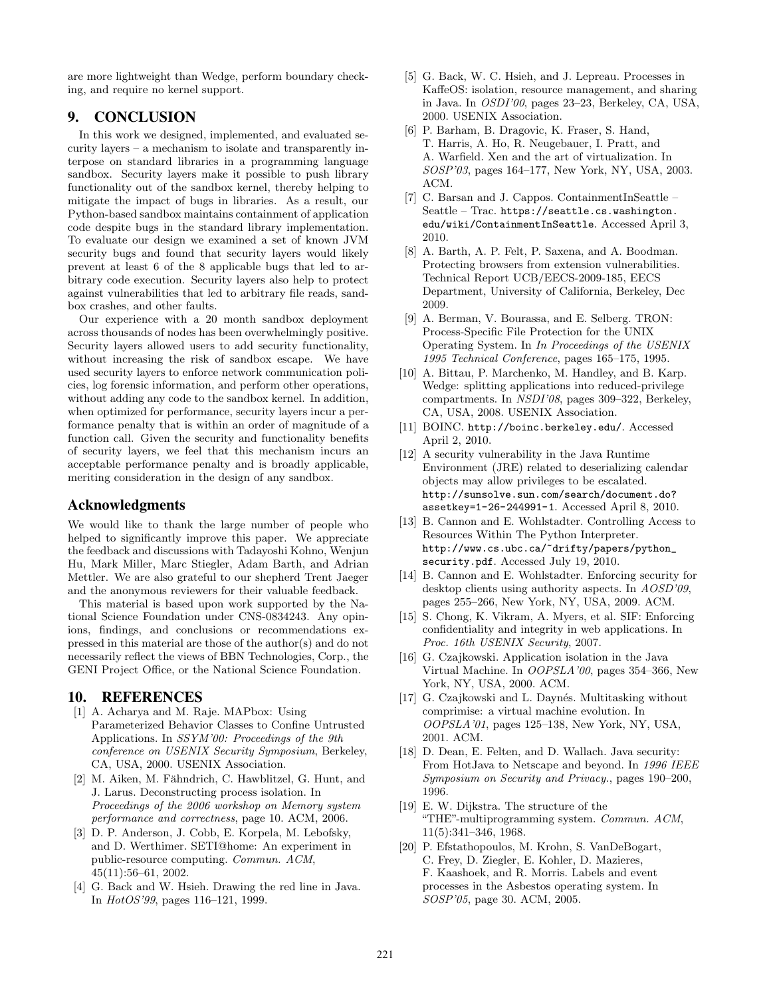are more lightweight than Wedge, perform boundary checking, and require no kernel support.

# 9. CONCLUSION

In this work we designed, implemented, and evaluated security layers – a mechanism to isolate and transparently interpose on standard libraries in a programming language sandbox. Security layers make it possible to push library functionality out of the sandbox kernel, thereby helping to mitigate the impact of bugs in libraries. As a result, our Python-based sandbox maintains containment of application code despite bugs in the standard library implementation. To evaluate our design we examined a set of known JVM security bugs and found that security layers would likely prevent at least 6 of the 8 applicable bugs that led to arbitrary code execution. Security layers also help to protect against vulnerabilities that led to arbitrary file reads, sandbox crashes, and other faults.

Our experience with a 20 month sandbox deployment across thousands of nodes has been overwhelmingly positive. Security layers allowed users to add security functionality, without increasing the risk of sandbox escape. We have used security layers to enforce network communication policies, log forensic information, and perform other operations, without adding any code to the sandbox kernel. In addition, when optimized for performance, security layers incur a performance penalty that is within an order of magnitude of a function call. Given the security and functionality benefits of security layers, we feel that this mechanism incurs an acceptable performance penalty and is broadly applicable, meriting consideration in the design of any sandbox.

## Acknowledgments

We would like to thank the large number of people who helped to significantly improve this paper. We appreciate the feedback and discussions with Tadayoshi Kohno, Wenjun Hu, Mark Miller, Marc Stiegler, Adam Barth, and Adrian Mettler. We are also grateful to our shepherd Trent Jaeger and the anonymous reviewers for their valuable feedback.

This material is based upon work supported by the National Science Foundation under CNS-0834243. Any opinions, findings, and conclusions or recommendations expressed in this material are those of the author(s) and do not necessarily reflect the views of BBN Technologies, Corp., the GENI Project Office, or the National Science Foundation.

#### 10. REFERENCES

- [1] A. Acharya and M. Raje. MAPbox: Using Parameterized Behavior Classes to Confine Untrusted Applications. In SSYM'00: Proceedings of the 9th conference on USENIX Security Symposium, Berkeley, CA, USA, 2000. USENIX Association.
- [2] M. Aiken, M. Fähndrich, C. Hawblitzel, G. Hunt, and J. Larus. Deconstructing process isolation. In Proceedings of the 2006 workshop on Memory system performance and correctness, page 10. ACM, 2006.
- [3] D. P. Anderson, J. Cobb, E. Korpela, M. Lebofsky, and D. Werthimer. SETI@home: An experiment in public-resource computing. Commun. ACM, 45(11):56–61, 2002.
- [4] G. Back and W. Hsieh. Drawing the red line in Java. In HotOS'99, pages 116–121, 1999.
- [5] G. Back, W. C. Hsieh, and J. Lepreau. Processes in KaffeOS: isolation, resource management, and sharing in Java. In OSDI'00, pages 23–23, Berkeley, CA, USA, 2000. USENIX Association.
- [6] P. Barham, B. Dragovic, K. Fraser, S. Hand, T. Harris, A. Ho, R. Neugebauer, I. Pratt, and A. Warfield. Xen and the art of virtualization. In SOSP'03, pages 164–177, New York, NY, USA, 2003. ACM.
- [7] C. Barsan and J. Cappos. ContainmentInSeattle Seattle – Trac. https://seattle.cs.washington. edu/wiki/ContainmentInSeattle. Accessed April 3, 2010.
- [8] A. Barth, A. P. Felt, P. Saxena, and A. Boodman. Protecting browsers from extension vulnerabilities. Technical Report UCB/EECS-2009-185, EECS Department, University of California, Berkeley, Dec 2009.
- [9] A. Berman, V. Bourassa, and E. Selberg. TRON: Process-Specific File Protection for the UNIX Operating System. In In Proceedings of the USENIX 1995 Technical Conference, pages 165–175, 1995.
- [10] A. Bittau, P. Marchenko, M. Handley, and B. Karp. Wedge: splitting applications into reduced-privilege compartments. In NSDI'08, pages 309–322, Berkeley, CA, USA, 2008. USENIX Association.
- [11] BOINC. http://boinc.berkeley.edu/. Accessed April 2, 2010.
- [12] A security vulnerability in the Java Runtime Environment (JRE) related to deserializing calendar objects may allow privileges to be escalated. http://sunsolve.sun.com/search/document.do? assetkey=1-26-244991-1. Accessed April 8, 2010.
- [13] B. Cannon and E. Wohlstadter. Controlling Access to Resources Within The Python Interpreter. http://www.cs.ubc.ca/~drifty/papers/python\_ security.pdf. Accessed July 19, 2010.
- [14] B. Cannon and E. Wohlstadter. Enforcing security for desktop clients using authority aspects. In AOSD'09, pages 255–266, New York, NY, USA, 2009. ACM.
- [15] S. Chong, K. Vikram, A. Myers, et al. SIF: Enforcing confidentiality and integrity in web applications. In Proc. 16th USENIX Security, 2007.
- [16] G. Czajkowski. Application isolation in the Java Virtual Machine. In OOPSLA'00, pages 354–366, New York, NY, USA, 2000. ACM.
- [17] G. Czajkowski and L. Daynés. Multitasking without comprimise: a virtual machine evolution. In OOPSLA'01, pages 125–138, New York, NY, USA, 2001. ACM.
- [18] D. Dean, E. Felten, and D. Wallach. Java security: From HotJava to Netscape and beyond. In 1996 IEEE Symposium on Security and Privacy., pages 190–200, 1996.
- [19] E. W. Dijkstra. The structure of the "THE"-multiprogramming system. Commun. ACM, 11(5):341–346, 1968.
- [20] P. Efstathopoulos, M. Krohn, S. VanDeBogart, C. Frey, D. Ziegler, E. Kohler, D. Mazieres, F. Kaashoek, and R. Morris. Labels and event processes in the Asbestos operating system. In SOSP'05, page 30. ACM, 2005.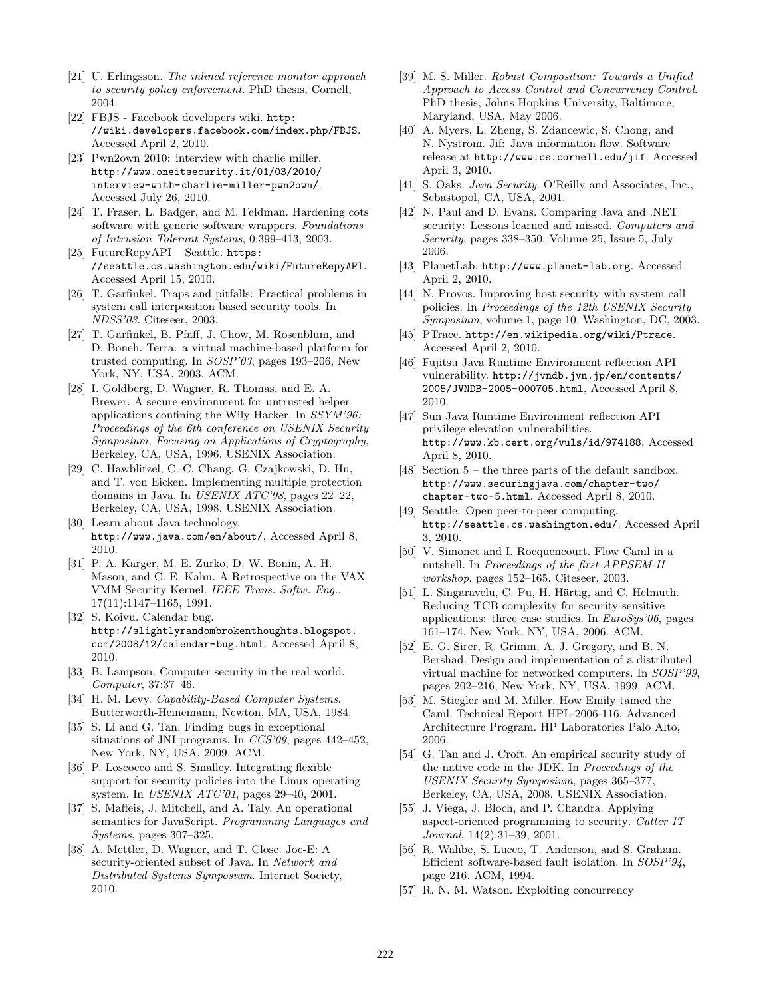- [21] U. Erlingsson. The inlined reference monitor approach to security policy enforcement. PhD thesis, Cornell, 2004.
- [22] FBJS Facebook developers wiki. http: //wiki.developers.facebook.com/index.php/FBJS. Accessed April 2, 2010.
- [23] Pwn2own 2010: interview with charlie miller. http://www.oneitsecurity.it/01/03/2010/ interview-with-charlie-miller-pwn2own/. Accessed July 26, 2010.
- [24] T. Fraser, L. Badger, and M. Feldman. Hardening cots software with generic software wrappers. Foundations of Intrusion Tolerant Systems, 0:399–413, 2003.
- [25] FutureRepyAPI Seattle. https: //seattle.cs.washington.edu/wiki/FutureRepyAPI. Accessed April 15, 2010.
- [26] T. Garfinkel. Traps and pitfalls: Practical problems in system call interposition based security tools. In NDSS'03. Citeseer, 2003.
- [27] T. Garfinkel, B. Pfaff, J. Chow, M. Rosenblum, and D. Boneh. Terra: a virtual machine-based platform for trusted computing. In SOSP'03, pages 193–206, New York, NY, USA, 2003. ACM.
- [28] I. Goldberg, D. Wagner, R. Thomas, and E. A. Brewer. A secure environment for untrusted helper applications confining the Wily Hacker. In SSYM'96: Proceedings of the 6th conference on USENIX Security Symposium, Focusing on Applications of Cryptography, Berkeley, CA, USA, 1996. USENIX Association.
- [29] C. Hawblitzel, C.-C. Chang, G. Czajkowski, D. Hu, and T. von Eicken. Implementing multiple protection domains in Java. In USENIX ATC'98, pages 22–22, Berkeley, CA, USA, 1998. USENIX Association.
- [30] Learn about Java technology. http://www.java.com/en/about/, Accessed April 8, 2010.
- [31] P. A. Karger, M. E. Zurko, D. W. Bonin, A. H. Mason, and C. E. Kahn. A Retrospective on the VAX VMM Security Kernel. IEEE Trans. Softw. Eng., 17(11):1147–1165, 1991.
- [32] S. Koivu. Calendar bug. http://slightlyrandombrokenthoughts.blogspot. com/2008/12/calendar-bug.html. Accessed April 8, 2010.
- [33] B. Lampson. Computer security in the real world. Computer, 37:37–46.
- [34] H. M. Levy. *Capability-Based Computer Systems*. Butterworth-Heinemann, Newton, MA, USA, 1984.
- [35] S. Li and G. Tan. Finding bugs in exceptional situations of JNI programs. In CCS'09, pages 442–452, New York, NY, USA, 2009. ACM.
- [36] P. Loscocco and S. Smalley. Integrating flexible support for security policies into the Linux operating system. In USENIX ATC'01, pages 29–40, 2001.
- [37] S. Maffeis, J. Mitchell, and A. Taly. An operational semantics for JavaScript. Programming Languages and Systems, pages 307–325.
- [38] A. Mettler, D. Wagner, and T. Close. Joe-E: A security-oriented subset of Java. In Network and Distributed Systems Symposium. Internet Society, 2010.
- [39] M. S. Miller. Robust Composition: Towards a Unified Approach to Access Control and Concurrency Control. PhD thesis, Johns Hopkins University, Baltimore, Maryland, USA, May 2006.
- [40] A. Myers, L. Zheng, S. Zdancewic, S. Chong, and N. Nystrom. Jif: Java information flow. Software release at http://www.cs.cornell.edu/jif. Accessed April 3, 2010.
- [41] S. Oaks. *Java Security*. O'Reilly and Associates, Inc., Sebastopol, CA, USA, 2001.
- [42] N. Paul and D. Evans. Comparing Java and .NET security: Lessons learned and missed. Computers and Security, pages 338–350. Volume 25, Issue 5, July 2006.
- [43] PlanetLab. http://www.planet-lab.org. Accessed April 2, 2010.
- [44] N. Provos. Improving host security with system call policies. In Proceedings of the 12th USENIX Security Symposium, volume 1, page 10. Washington, DC, 2003.
- [45] PTrace. http://en.wikipedia.org/wiki/Ptrace. Accessed April 2, 2010.
- [46] Fujitsu Java Runtime Environment reflection API vulnerability. http://jvndb.jvn.jp/en/contents/ 2005/JVNDB-2005-000705.html, Accessed April 8, 2010.
- [47] Sun Java Runtime Environment reflection API privilege elevation vulnerabilities. http://www.kb.cert.org/vuls/id/974188, Accessed April 8, 2010.
- [48] Section 5 the three parts of the default sandbox. http://www.securingjava.com/chapter-two/ chapter-two-5.html. Accessed April 8, 2010.
- [49] Seattle: Open peer-to-peer computing. http://seattle.cs.washington.edu/. Accessed April 3, 2010.
- [50] V. Simonet and I. Rocquencourt. Flow Caml in a nutshell. In Proceedings of the first APPSEM-II workshop, pages 152–165. Citeseer, 2003.
- [51] L. Singaravelu, C. Pu, H. Härtig, and C. Helmuth. Reducing TCB complexity for security-sensitive applications: three case studies. In  $EuroSus'06$ , pages 161–174, New York, NY, USA, 2006. ACM.
- [52] E. G. Sirer, R. Grimm, A. J. Gregory, and B. N. Bershad. Design and implementation of a distributed virtual machine for networked computers. In SOSP'99, pages 202–216, New York, NY, USA, 1999. ACM.
- [53] M. Stiegler and M. Miller. How Emily tamed the Caml. Technical Report HPL-2006-116, Advanced Architecture Program. HP Laboratories Palo Alto, 2006.
- [54] G. Tan and J. Croft. An empirical security study of the native code in the JDK. In Proceedings of the USENIX Security Symposium, pages 365–377, Berkeley, CA, USA, 2008. USENIX Association.
- [55] J. Viega, J. Bloch, and P. Chandra. Applying aspect-oriented programming to security. Cutter IT Journal, 14(2):31–39, 2001.
- [56] R. Wahbe, S. Lucco, T. Anderson, and S. Graham. Efficient software-based fault isolation. In SOSP'94, page 216. ACM, 1994.
- [57] R. N. M. Watson. Exploiting concurrency